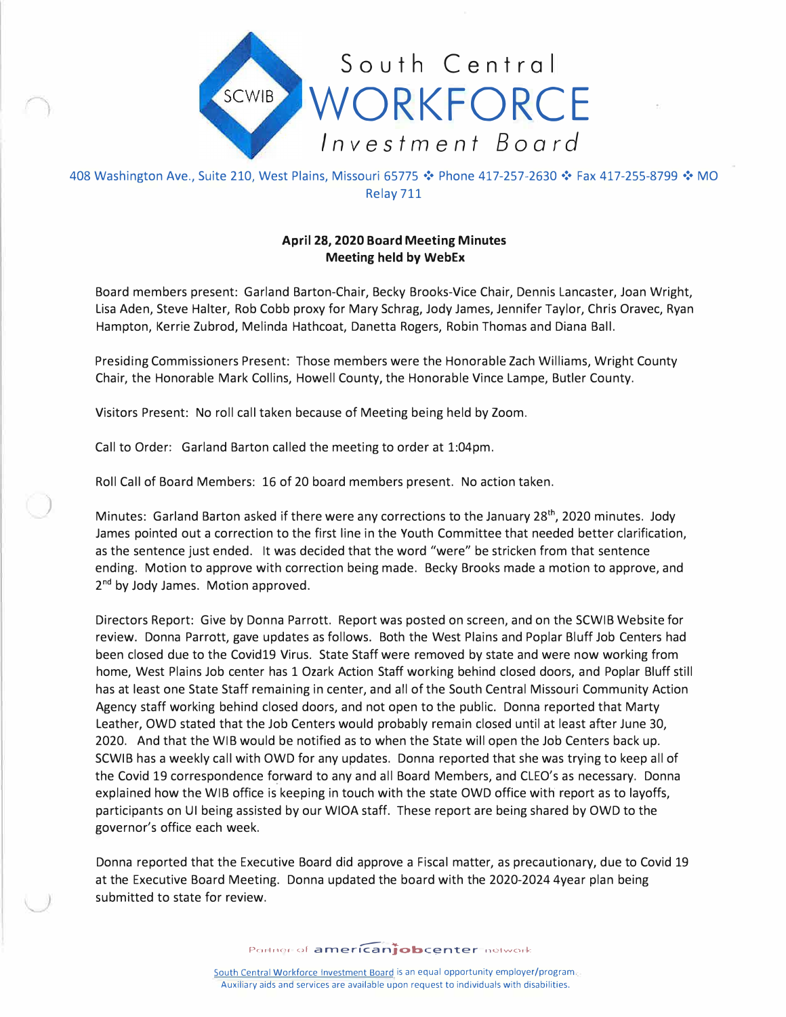

408 Washington Ave., Suite 210, West Plains, Missouri 65775 ❖ Phone 417-257-2630 ❖ Fax 417-255-8799 ❖ MO Relay 711

## **April 28, 2020 Board Meeting Minutes Meeting held by WebEx**

Board members present: Garland Barton-Chair, Becky Brooks-Vice Chair, Dennis Lancaster, Joan Wright, Lisa Aden, Steve Halter, Rob Cobb proxy for Mary Schrag, Jody James, Jennifer Taylor, Chris Oravec, Ryan Hampton, Kerrie Zubrod, Melinda Hathcoat, Danetta Rogers, Robin Thomas and Diana Ball.

Presiding Commissioners Present: Those members were the Honorable Zach Williams, Wright County Chair, the Honorable Mark Collins, Howell County, the Honorable Vince Lampe, Butler County.

Visitors Present: No roll call taken because of Meeting being held by Zoom.

Call to Order: Garland Barton called the meeting to order at 1:04pm.

)

Roll Call of Board Members: 16 of 20 board members present. No action taken.

Minutes: Garland Barton asked if there were any corrections to the January 28<sup>th</sup>, 2020 minutes. Jody James pointed out a correction to the first line in the Youth Committee that needed better clarification, as the sentence just ended. It was decided that the word "were" be stricken from that sentence ending. Motion to approve with correction being made. Becky Brooks made a motion to approve, and 2 **nd** by Jody James. Motion approved.

Directors Report: Give by Donna Parrott. Report was posted on screen, and on the SCWIB Website for review. Donna Parrott, gave updates as follows. Both the West Plains and Poplar Bluff Job Centers had been closed due to the Covid19 Virus. State Staff were removed by state and were now working from home, West Plains Job center has 1 Ozark Action Staff working behind closed doors, and Poplar Bluff still has at least one State Staff remaining in center, and all of the South Central Missouri Community Action Agency staff working behind closed doors, and not open to the public. Donna reported that Marty Leather, OWD stated that the Job Centers would probably remain closed until at least after June 30, 2020. And that the WIB would be notified as to when the State will open the Job Centers back up. SCWIB has a weekly call with OWD for any updates. Donna reported that she was trying to keep all of the Covid 19 correspondence forward to any and all Board Members, and CLEO's as necessary. Donna explained how the WIB office is keeping in touch with the state OWD office with report as to layoffs, participants on UI being assisted by our WIOA staff. These report are being shared by OWD to the governor's office each week.

Donna reported that the Executive Board did approve a Fiscal matter, as precautionary, due to Covid 19 at the Executive Board Meeting. Donna updated the board with the 2020-2024 4year plan being submitted to state for review.

Portner of **american obcenter** network

South Central Workforce Investment Board is an equal opportunity employer/program. Auxiliary aids and services are available upon request to individuals with disabilities.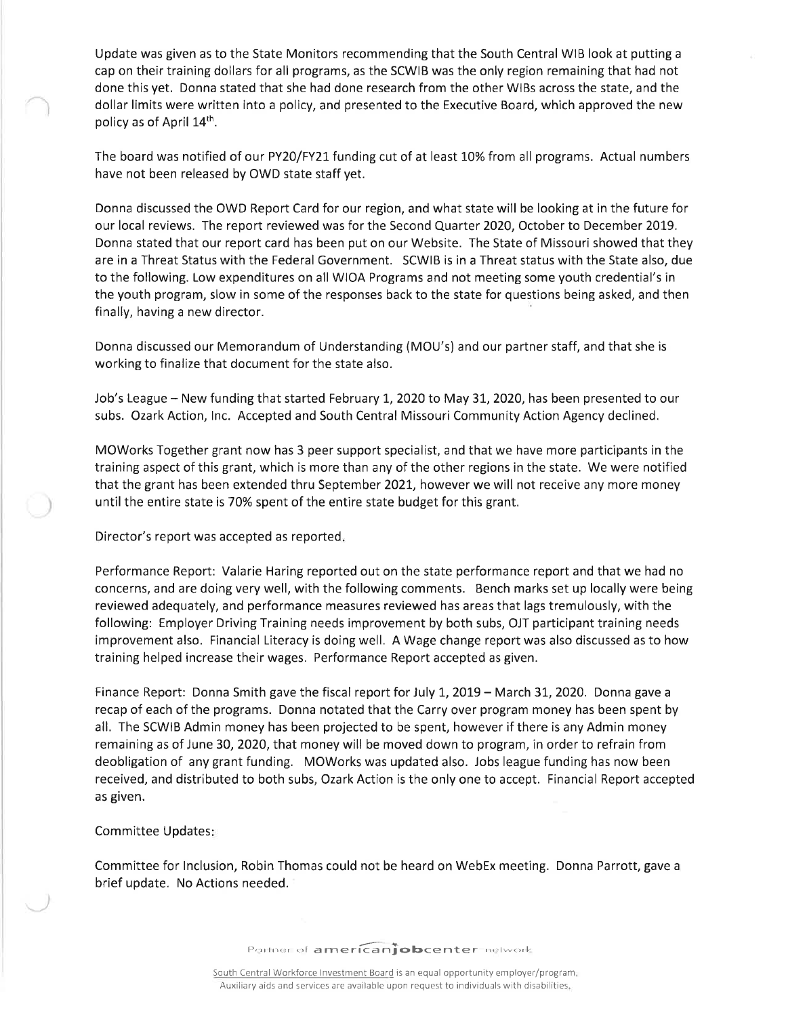Update was given as to the State Monitors recommending that the South Central WIB look at putting a cap on their training dollars for all programs, as the SCWIB was the only region remaining that had not done this yet. Donna stated that she had done research from the other WIBs across the state, and the dollar limits were written into a policy, and presented to the Executive Board, which approved the new policy as of April 14<sup>th</sup>.

The board was notified of our PY20/FY21 funding cut of at least 10% from all programs. Actual numbers have not been released by OWD state staff yet.

Donna discussed the OWD Report Card for our region, and what state will be looking at in the future for our local reviews. The report reviewed was for the Second Quarter 2020, October to December 2019. Donna stated that our report card has been put on our Website. The State of Missouri showed that they are in a Threat Status with the Federal Government. SCWIB is in a Threat status with the State also, due to the following. Low expenditures on all WIOA Programs and not meeting some youth credential's in the youth program, slow in some of the responses back to the state for questions being asked, and then finally, having a new director.

Donna discussed our Memorandum of Understanding (MOU's) and our partner staff, and that she is working to finalize that document for the state also.

Job's League - New funding that started February 1, 2020 to May 31, 2020, has been presented to our subs. Ozark Action, Inc. Accepted and South Central Missouri Community Action Agency declined.

MOWorks Together grant now has 3 peer support specialist, and that we have more participants in the training aspect of this grant, which is more than any of the other regions in the state. We were notified that the grant has been extended thru September 2021, however we will not receive any more money until the entire state is 70% spent of the entire state budget for this grant.

Director's report was accepted as reported.

Performance Report: Valarie Haring reported out on the state performance report and that we had no concerns, and are doing very well, with the following comments. Bench marks set up locally were being reviewed adequately, and performance measures reviewed has areas that lags tremulously, with the following: Employer Driving Training needs improvement by both subs, OJT participant training needs improvement also. Financial Literacy is doing well. A Wage change report was also discussed as to how training helped increase their wages. Performance Report accepted as given.

Finance Report: Donna Smith gave the fiscal report for July 1, 2019 - March 31, 2020. Donna gave a recap of each of the programs. Donna notated that the Carry over program money has been spent by all. The SCWIB Admin money has been projected to be spent, however if there is any Admin money remaining as of June 30, 2020, that money will be moved down to program, in order to refrain from deobligation of any grant funding. MOWorks was updated also. Jobs league funding has now been received, and distributed to both subs, Ozark Action is the only one to accept. Financial Report accepted as given.

## Committee Updates:

Committee for Inclusion, Robin Thomas could not be heard on WebEx meeting. Donna Parrott, gave a brief update. No Actions needed.

Portner of americanjobcenter network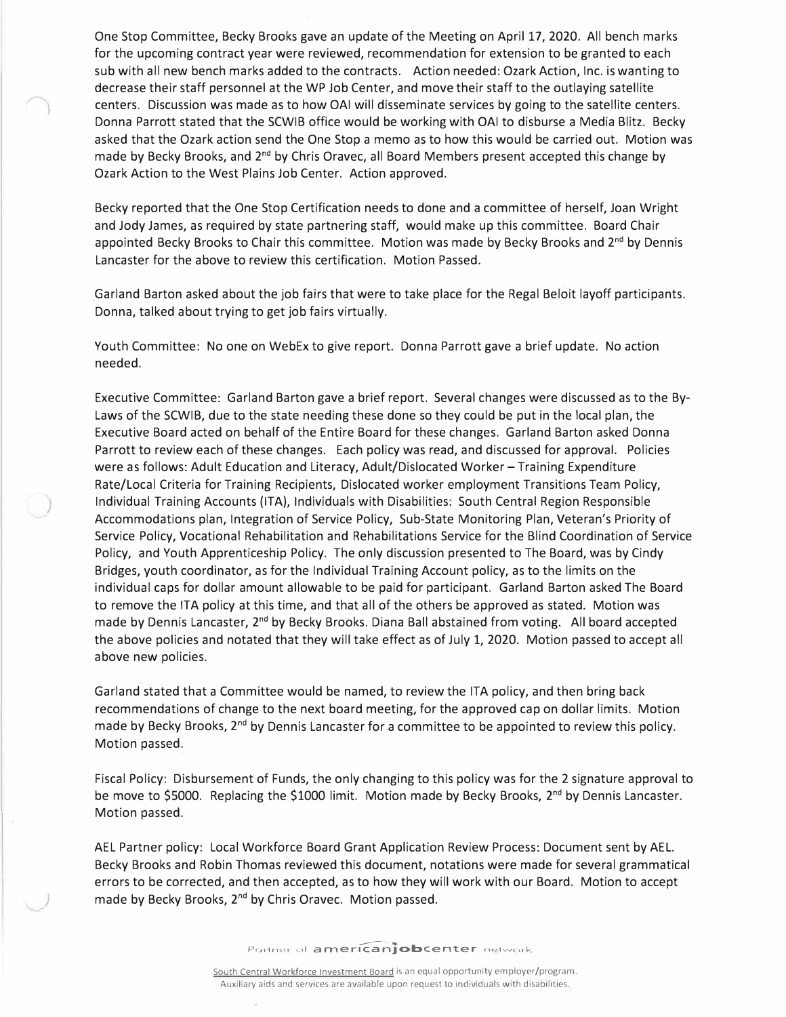One Stop Committee, Becky Brooks gave an update of the Meeting on April 17, 2020. All bench marks for the upcoming contract year were reviewed, recommendation for extension to be granted to each sub with all new bench marks added to the contracts. Action needed: Ozark Action, Inc. is wanting to decrease their staff personnel at the WP Job Center, and move their staff to the outlaying satellite centers. Discussion was made as to how OAI will disseminate services by going to the satellite centers. Donna Parrott stated that the SCWIB office would be working with OAI to disburse a Media Blitz. Becky asked that the Ozark action send the One Stop a memo as to how this would be carried out. Motion was made by Becky Brooks, and 2<sup>nd</sup> by Chris Oravec, all Board Members present accepted this change by Ozark Action to the West Plains Job Center. Action approved.

Becky reported that the One Stop Certification needs to done and a committee of herself, Joan Wright and Jody James, as required by state partnering staff, would make up this committee. Board Chair appointed Becky Brooks to Chair this committee. Motion was made by Becky Brooks and 2<sup>nd</sup> by Dennis Lancaster for the above to review this certification. Motion Passed.

\_Garland Barton asked about the job fairs that were to take place for the Regal Beloit layoff participants. Donna, talked about trying to get job fairs virtually.

Youth Committee: No one on WebEx to give report. Donna Parrott gave a brief update. No action needed.

Executive Committee: Garland Barton gave a brief report. Several changes were discussed as to the Bylaws of the SCWIB, due to the state needing these done so they could be put in the local plan, the Executive Board acted on behalf of the Entire Board for these changes. Garland Barton asked Donna Parrott to review each of these changes. Each policy was read, and discussed for approval. Policies were as follows: Adult Education and Literacy, Adult/Dislocated Worker - Training Expenditure Rate/Local Criteria for Training Recipients, Dislocated worker employment Transitions Team Policy, Individual Training Accounts (ITA), Individuals with Disabilities: South Central Region Responsible Accommodations plan, Integration of Service Policy, Sub-State Monitoring Plan, Veteran's Priority of Service Policy, Vocational Rehabilitation and Rehabilitations Service for the Blind Coordination of Service Policy, and Youth Apprenticeship Policy. The only discussion presented to The Board, was by Cindy Bridges, youth coordinator, as for the Individual Training Account policy, as to the limits on the individual caps for dollar amount allowable to be paid for participant. Garland Barton asked The Board to remove the ITA policy at this time, and that all of the others be approved as stated. Motion was made by Dennis Lancaster, 2<sup>nd</sup> by Becky Brooks. Diana Ball abstained from voting. All board accepted the above policies and notated that they will take effect as of July 1, 2020. Motion passed to accept all above new policies.

*)* 

)

Garland stated that a Committee would be named, to review the ITA policy, and then bring back recommendations of change to the next board meeting, for the approved cap on dollar limits. Motion made by Becky Brooks, 2<sup>nd</sup> by Dennis Lancaster for a committee to be appointed to review this policy. Motion passed.

Fiscal Policy: Disbursement of Funds, the only changing to this policy was for the 2 signature approval to be move to \$5000. Replacing the \$1000 limit. Motion made by Becky Brooks, 2<sup>nd</sup> by Dennis Lancaster. Motion passed.

AEL Partner policy: Local Workforce Board Grant Application Review Process: Document sent by AEL. Becky Brooks and Robin Thomas reviewed this document, notations were made for several grammatical errors to be corrected, and then accepted, as to how they will work with our Board. Motion to accept made by Becky Brooks, 2<sup>nd</sup> by Chris Oravec. Motion passed.

Portner of **americanjobcenter** network

South Central Workforce Investment Board is an equal opportunity employer/program. Auxiliary aids and services are available upon request to individuals with disabilities.